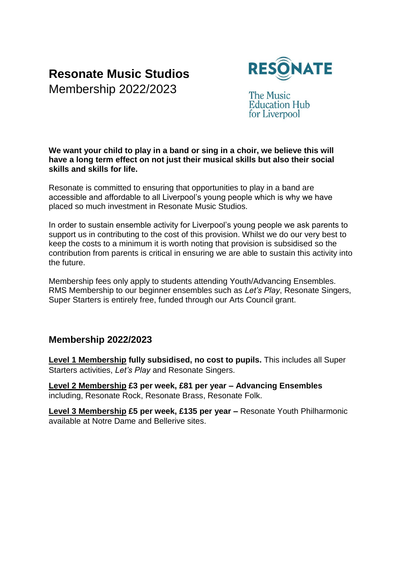# **Resonate Music Studios**

Membership 2022/2023



The Music **Education Hub** for Liverpool

#### **We want your child to play in a band or sing in a choir, we believe this will have a long term effect on not just their musical skills but also their social skills and skills for life.**

Resonate is committed to ensuring that opportunities to play in a band are accessible and affordable to all Liverpool's young people which is why we have placed so much investment in Resonate Music Studios.

In order to sustain ensemble activity for Liverpool's young people we ask parents to support us in contributing to the cost of this provision. Whilst we do our very best to keep the costs to a minimum it is worth noting that provision is subsidised so the contribution from parents is critical in ensuring we are able to sustain this activity into the future.

Membership fees only apply to students attending Youth/Advancing Ensembles. RMS Membership to our beginner ensembles such as *Let's Play*, Resonate Singers, Super Starters is entirely free, funded through our Arts Council grant.

### **Membership 2022/2023**

**Level 1 Membership fully subsidised, no cost to pupils.** This includes all Super Starters activities, *Let's Play* and Resonate Singers.

**Level 2 Membership £3 per week, £81 per year – Advancing Ensembles** including, Resonate Rock, Resonate Brass, Resonate Folk.

**Level 3 Membership £5 per week, £135 per year –** Resonate Youth Philharmonic available at Notre Dame and Bellerive sites.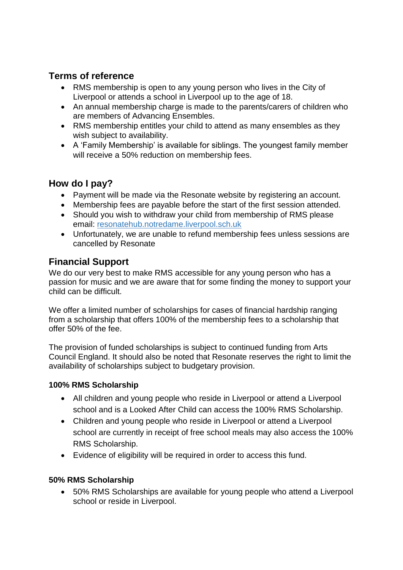## **Terms of reference**

- RMS membership is open to any young person who lives in the City of Liverpool or attends a school in Liverpool up to the age of 18.
- An annual membership charge is made to the parents/carers of children who are members of Advancing Ensembles.
- RMS membership entitles your child to attend as many ensembles as they wish subject to availability.
- A 'Family Membership' is available for siblings. The youngest family member will receive a 50% reduction on membership fees.

## **How do I pay?**

- Payment will be made via the Resonate website by registering an account.
- Membership fees are payable before the start of the first session attended.
- Should you wish to withdraw your child from membership of RMS please email: resonatehub.notredame.liverpool.sch.uk
- Unfortunately, we are unable to refund membership fees unless sessions are cancelled by Resonate

## **Financial Support**

We do our very best to make RMS accessible for any young person who has a passion for music and we are aware that for some finding the money to support your child can be difficult.

We offer a limited number of scholarships for cases of financial hardship ranging from a scholarship that offers 100% of the membership fees to a scholarship that offer 50% of the fee.

The provision of funded scholarships is subject to continued funding from Arts Council England. It should also be noted that Resonate reserves the right to limit the availability of scholarships subject to budgetary provision.

### **100% RMS Scholarship**

- All children and young people who reside in Liverpool or attend a Liverpool school and is a Looked After Child can access the 100% RMS Scholarship.
- Children and young people who reside in Liverpool or attend a Liverpool school are currently in receipt of free school meals may also access the 100% RMS Scholarship.
- Evidence of eligibility will be required in order to access this fund.

#### **50% RMS Scholarship**

• 50% RMS Scholarships are available for young people who attend a Liverpool school or reside in Liverpool.